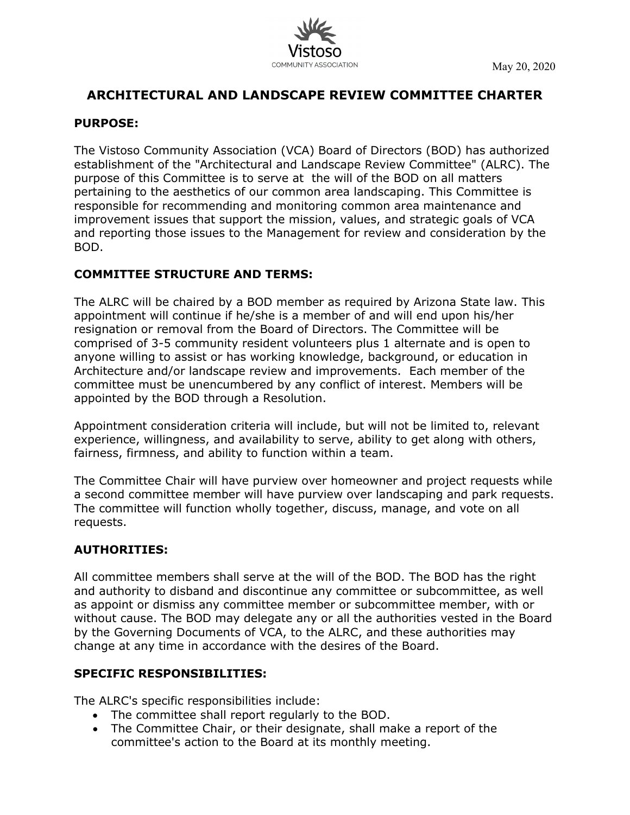

# **ARCHITECTURAL AND LANDSCAPE REVIEW COMMITTEE CHARTER**

#### **PURPOSE:**

The Vistoso Community Association (VCA) Board of Directors (BOD) has authorized establishment of the "Architectural and Landscape Review Committee" (ALRC). The purpose of this Committee is to serve at the will of the BOD on all matters pertaining to the aesthetics of our common area landscaping. This Committee is responsible for recommending and monitoring common area maintenance and improvement issues that support the mission, values, and strategic goals of VCA and reporting those issues to the Management for review and consideration by the BOD.

### **COMMITTEE STRUCTURE AND TERMS:**

The ALRC will be chaired by a BOD member as required by Arizona State law. This appointment will continue if he/she is a member of and will end upon his/her resignation or removal from the Board of Directors. The Committee will be comprised of 3-5 community resident volunteers plus 1 alternate and is open to anyone willing to assist or has working knowledge, background, or education in Architecture and/or landscape review and improvements. Each member of the committee must be unencumbered by any conflict of interest. Members will be appointed by the BOD through a Resolution.

Appointment consideration criteria will include, but will not be limited to, relevant experience, willingness, and availability to serve, ability to get along with others, fairness, firmness, and ability to function within a team.

The Committee Chair will have purview over homeowner and project requests while a second committee member will have purview over landscaping and park requests. The committee will function wholly together, discuss, manage, and vote on all requests.

## **AUTHORITIES:**

All committee members shall serve at the will of the BOD. The BOD has the right and authority to disband and discontinue any committee or subcommittee, as well as appoint or dismiss any committee member or subcommittee member, with or without cause. The BOD may delegate any or all the authorities vested in the Board by the Governing Documents of VCA, to the ALRC, and these authorities may change at any time in accordance with the desires of the Board.

### **SPECIFIC RESPONSIBILITIES:**

The ALRC's specific responsibilities include:

- The committee shall report regularly to the BOD.
- The Committee Chair, or their designate, shall make a report of the committee's action to the Board at its monthly meeting.